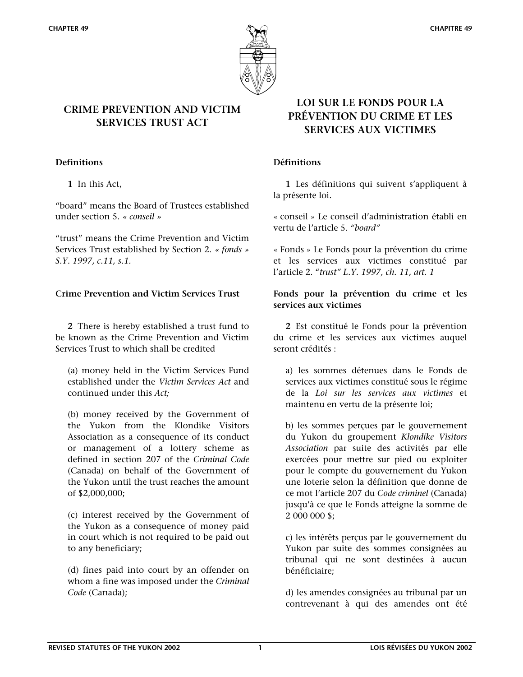

# **CRIME PREVENTION AND VICTIM SERVICES TRUST ACT**

 **1** In this Act,

"board" means the Board of Trustees established under section 5. *« conseil »*

"trust" means the Crime Prevention and Victim Services Trust established by Section 2. *« fonds » S.Y. 1997, c.11, s.1.*

 **2** There is hereby established a trust fund to be known as the Crime Prevention and Victim Services Trust to which shall be credited

(a) money held in the Victim Services Fund established under the *Victim Services Act* and continued under this *Act;* 

(b) money received by the Government of the Yukon from the Klondike Visitors Association as a consequence of its conduct or management of a lottery scheme as defined in section 207 of the *Criminal Code*  (Canada) on behalf of the Government of the Yukon until the trust reaches the amount of \$2,000,000;

(c) interest received by the Government of the Yukon as a consequence of money paid in court which is not required to be paid out to any beneficiary;

(d) fines paid into court by an offender on whom a fine was imposed under the *Criminal Code* (Canada);

# **LOI SUR LE FONDS POUR LA PRÉVENTION DU CRIME ET LES SERVICES AUX VICTIMES**

### **Definitions Définitions**

**1** Les définitions qui suivent s'appliquent à la présente loi.

« conseil » Le conseil d'administration établi en vertu de l'article 5. *"board"* 

« Fonds » Le Fonds pour la prévention du crime et les services aux victimes constitué par l'article 2. "*trust" L.Y. 1997, ch. 11, art. 1*

## Crime Prevention and Victim Services Trust Fonds pour la prévention du crime et les **services aux victimes**

**2** Est constitué le Fonds pour la prévention du crime et les services aux victimes auquel seront crédités :

a) les sommes détenues dans le Fonds de services aux victimes constitué sous le régime de la *Loi sur les services aux victimes* et maintenu en vertu de la présente loi;

b) les sommes perçues par le gouvernement du Yukon du groupement *Klondike Visitors Association* par suite des activités par elle exercées pour mettre sur pied ou exploiter pour le compte du gouvernement du Yukon une loterie selon la définition que donne de ce mot l'article 207 du *Code criminel* (Canada) jusqu'à ce que le Fonds atteigne la somme de 2 000 000 \$;

c) les intérêts perçus par le gouvernement du Yukon par suite des sommes consignées au tribunal qui ne sont destinées à aucun bénéficiaire;

d) les amendes consignées au tribunal par un contrevenant à qui des amendes ont été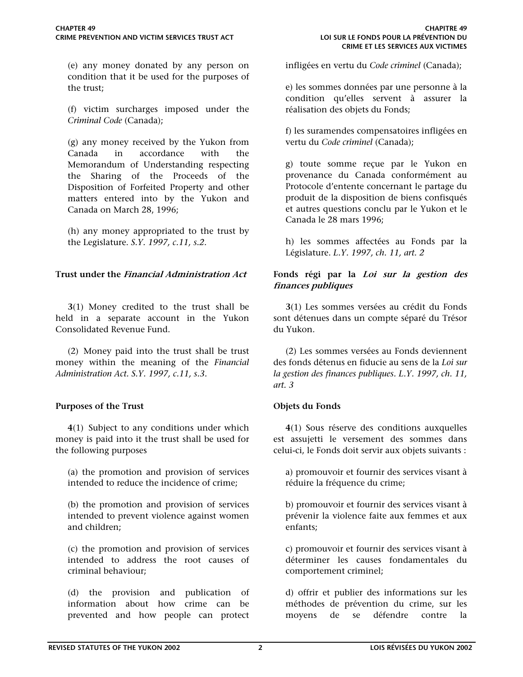(e) any money donated by any person on condition that it be used for the purposes of the trust;

(f) victim surcharges imposed under the *Criminal Code* (Canada);

(g) any money received by the Yukon from Canada in accordance with the Memorandum of Understanding respecting the Sharing of the Proceeds of the Disposition of Forfeited Property and other matters entered into by the Yukon and Canada on March 28, 1996;

(h) any money appropriated to the trust by the Legislature. *S.Y. 1997, c.11, s.2.*

**3**(1) Money credited to the trust shall be held in a separate account in the Yukon Consolidated Revenue Fund.

(2) Money paid into the trust shall be trust money within the meaning of the *Financial Administration Act. S.Y. 1997, c.11, s.3.*

## **Purposes of the Trust Comparent Comparent Comparent Comparent Comparent Comparent Comparent Comparent Comparent Comparent Comparent Comparent Comparent Comparent Comparent Comparent Comparent Comparent Comparent Compare**

**4**(1) Subject to any conditions under which money is paid into it the trust shall be used for the following purposes

(a) the promotion and provision of services intended to reduce the incidence of crime;

(b) the promotion and provision of services intended to prevent violence against women and children;

(c) the promotion and provision of services intended to address the root causes of criminal behaviour;

(d) the provision and publication of information about how crime can be prevented and how people can protect infligées en vertu du *Code criminel* (Canada);

e) les sommes données par une personne à la condition qu'elles servent à assurer la réalisation des objets du Fonds;

f) les suramendes compensatoires infligées en vertu du *Code criminel* (Canada);

g) toute somme reçue par le Yukon en provenance du Canada conformément au Protocole d'entente concernant le partage du produit de la disposition de biens confisqués et autres questions conclu par le Yukon et le Canada le 28 mars 1996;

h) les sommes affectées au Fonds par la Législature. *L.Y. 1997, ch. 11, art. 2*

## **Trust under the Financial Administration Act Fonds régi par la Loi sur la gestion des finances publiques**

**3**(1) Les sommes versées au crédit du Fonds sont détenues dans un compte séparé du Trésor du Yukon.

(2) Les sommes versées au Fonds deviennent des fonds détenus en fiducie au sens de la *Loi sur la gestion des finances publiques. L.Y. 1997, ch. 11, art. 3*

**4**(1) Sous réserve des conditions auxquelles est assujetti le versement des sommes dans celui-ci, le Fonds doit servir aux objets suivants :

a) promouvoir et fournir des services visant à réduire la fréquence du crime;

b) promouvoir et fournir des services visant à prévenir la violence faite aux femmes et aux enfants;

c) promouvoir et fournir des services visant à déterminer les causes fondamentales du comportement criminel;

d) offrir et publier des informations sur les méthodes de prévention du crime, sur les moyens de se défendre contre la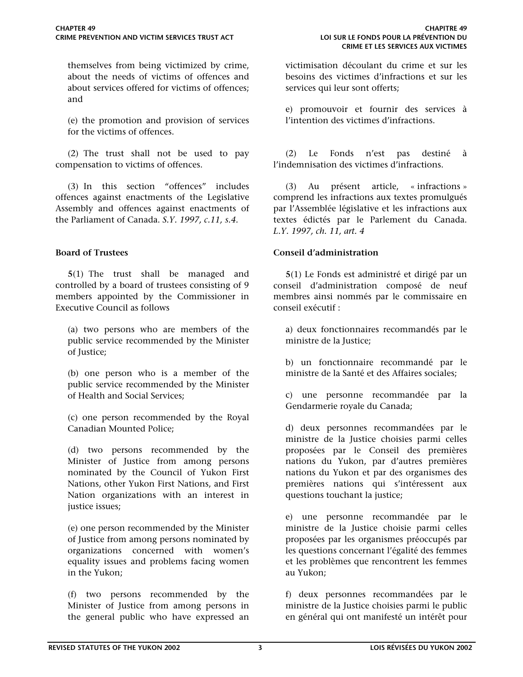themselves from being victimized by crime, about the needs of victims of offences and about services offered for victims of offences; and

(e) the promotion and provision of services for the victims of offences.

(2) The trust shall not be used to pay compensation to victims of offences.

(3) In this section "offences" includes offences against enactments of the Legislative Assembly and offences against enactments of the Parliament of Canada. *S.Y. 1997, c.11, s.4.*

**5**(1) The trust shall be managed and controlled by a board of trustees consisting of 9 members appointed by the Commissioner in Executive Council as follows

(a) two persons who are members of the public service recommended by the Minister of Justice;

(b) one person who is a member of the public service recommended by the Minister of Health and Social Services;

(c) one person recommended by the Royal Canadian Mounted Police;

(d) two persons recommended by the Minister of Justice from among persons nominated by the Council of Yukon First Nations, other Yukon First Nations, and First Nation organizations with an interest in justice issues;

(e) one person recommended by the Minister of Justice from among persons nominated by organizations concerned with women's equality issues and problems facing women in the Yukon;

(f) two persons recommended by the Minister of Justice from among persons in the general public who have expressed an

victimisation découlant du crime et sur les besoins des victimes d'infractions et sur les services qui leur sont offerts;

e) promouvoir et fournir des services à l'intention des victimes d'infractions.

(2) Le Fonds n'est pas destiné à l'indemnisation des victimes d'infractions.

(3) Au présent article, « infractions » comprend les infractions aux textes promulgués par l'Assemblée législative et les infractions aux textes édictés par le Parlement du Canada. *L.Y. 1997, ch. 11, art. 4*

### **Board of Trustees Conseil d'administration**

**5**(1) Le Fonds est administré et dirigé par un conseil d'administration composé de neuf membres ainsi nommés par le commissaire en conseil exécutif :

a) deux fonctionnaires recommandés par le ministre de la Justice;

b) un fonctionnaire recommandé par le ministre de la Santé et des Affaires sociales;

c) une personne recommandée par la Gendarmerie royale du Canada;

d) deux personnes recommandées par le ministre de la Justice choisies parmi celles proposées par le Conseil des premières nations du Yukon, par d'autres premières nations du Yukon et par des organismes des premières nations qui s'intéressent aux questions touchant la justice;

e) une personne recommandée par le ministre de la Justice choisie parmi celles proposées par les organismes préoccupés par les questions concernant l'égalité des femmes et les problèmes que rencontrent les femmes au Yukon;

f) deux personnes recommandées par le ministre de la Justice choisies parmi le public en général qui ont manifesté un intérêt pour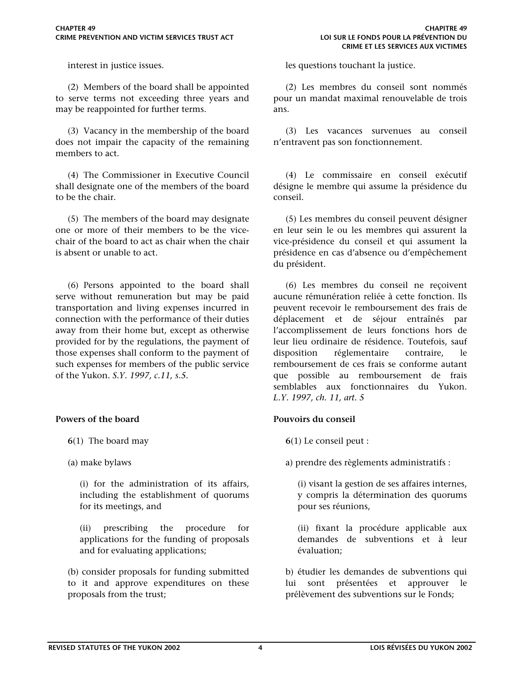(2) Members of the board shall be appointed to serve terms not exceeding three years and may be reappointed for further terms.

(3) Vacancy in the membership of the board does not impair the capacity of the remaining members to act.

(4) The Commissioner in Executive Council shall designate one of the members of the board to be the chair.

(5) The members of the board may designate one or more of their members to be the vicechair of the board to act as chair when the chair is absent or unable to act.

(6) Persons appointed to the board shall serve without remuneration but may be paid transportation and living expenses incurred in connection with the performance of their duties away from their home but, except as otherwise provided for by the regulations, the payment of those expenses shall conform to the payment of such expenses for members of the public service of the Yukon. *S.Y. 1997, c.11, s.5.*

## **Powers of the board Community Community Powers du conseil Powers du conseil results**

- **6**(1) The board may
- (a) make bylaws

(i) for the administration of its affairs, including the establishment of quorums for its meetings, and

(ii) prescribing the procedure for applications for the funding of proposals and for evaluating applications;

(b) consider proposals for funding submitted to it and approve expenditures on these proposals from the trust;

interest in justice issues. les questions touchant la justice.

(2) Les membres du conseil sont nommés pour un mandat maximal renouvelable de trois ans.

(3) Les vacances survenues au conseil n'entravent pas son fonctionnement.

(4) Le commissaire en conseil exécutif désigne le membre qui assume la présidence du conseil.

(5) Les membres du conseil peuvent désigner en leur sein le ou les membres qui assurent la vice-présidence du conseil et qui assument la présidence en cas d'absence ou d'empêchement du président.

(6) Les membres du conseil ne reçoivent aucune rémunération reliée à cette fonction. Ils peuvent recevoir le remboursement des frais de déplacement et de séjour entraînés par l'accomplissement de leurs fonctions hors de leur lieu ordinaire de résidence. Toutefois, sauf disposition réglementaire contraire, le remboursement de ces frais se conforme autant que possible au remboursement de frais semblables aux fonctionnaires du Yukon. *L.Y. 1997, ch. 11, art. 5*

**6**(1) Le conseil peut :

a) prendre des règlements administratifs :

(i) visant la gestion de ses affaires internes, y compris la détermination des quorums pour ses réunions,

(ii) fixant la procédure applicable aux demandes de subventions et à leur évaluation;

b) étudier les demandes de subventions qui lui sont présentées et approuver le prélèvement des subventions sur le Fonds;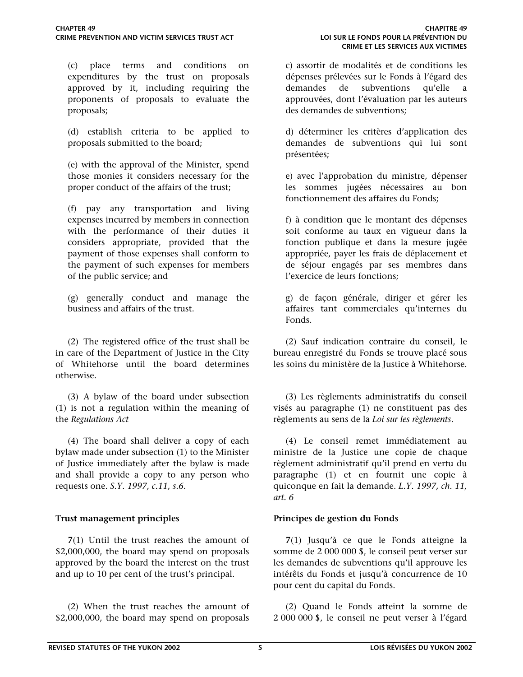(c) place terms and conditions on expenditures by the trust on proposals approved by it, including requiring the proponents of proposals to evaluate the proposals;

(d) establish criteria to be applied to proposals submitted to the board;

(e) with the approval of the Minister, spend those monies it considers necessary for the proper conduct of the affairs of the trust;

(f) pay any transportation and living expenses incurred by members in connection with the performance of their duties it considers appropriate, provided that the payment of those expenses shall conform to the payment of such expenses for members of the public service; and

(g) generally conduct and manage the business and affairs of the trust.

(2) The registered office of the trust shall be in care of the Department of Justice in the City of Whitehorse until the board determines otherwise.

(3) A bylaw of the board under subsection (1) is not a regulation within the meaning of the *Regulations Act*

(4) The board shall deliver a copy of each bylaw made under subsection (1) to the Minister of Justice immediately after the bylaw is made and shall provide a copy to any person who requests one. *S.Y. 1997, c.11, s.6.*

**7**(1) Until the trust reaches the amount of \$2,000,000, the board may spend on proposals approved by the board the interest on the trust and up to 10 per cent of the trust's principal.

(2) When the trust reaches the amount of \$2,000,000, the board may spend on proposals

c) assortir de modalités et de conditions les dépenses prélevées sur le Fonds à l'égard des demandes de subventions qu'elle a approuvées, dont l'évaluation par les auteurs des demandes de subventions;

d) déterminer les critères d'application des demandes de subventions qui lui sont présentées;

e) avec l'approbation du ministre, dépenser les sommes jugées nécessaires au bon fonctionnement des affaires du Fonds;

f) à condition que le montant des dépenses soit conforme au taux en vigueur dans la fonction publique et dans la mesure jugée appropriée, payer les frais de déplacement et de séjour engagés par ses membres dans l'exercice de leurs fonctions;

g) de façon générale, diriger et gérer les affaires tant commerciales qu'internes du Fonds.

(2) Sauf indication contraire du conseil, le bureau enregistré du Fonds se trouve placé sous les soins du ministère de la Justice à Whitehorse.

(3) Les règlements administratifs du conseil visés au paragraphe (1) ne constituent pas des règlements au sens de la *Loi sur les règlements*.

(4) Le conseil remet immédiatement au ministre de la Justice une copie de chaque règlement administratif qu'il prend en vertu du paragraphe (1) et en fournit une copie à quiconque en fait la demande. *L.Y. 1997, ch. 11, art. 6* 

## **Trust management principles Principes de gestion du Fonds**

 **7**(1) Jusqu'à ce que le Fonds atteigne la somme de 2 000 000 \$, le conseil peut verser sur les demandes de subventions qu'il approuve les intérêts du Fonds et jusqu'à concurrence de 10 pour cent du capital du Fonds.

(2) Quand le Fonds atteint la somme de 2 000 000 \$, le conseil ne peut verser à l'égard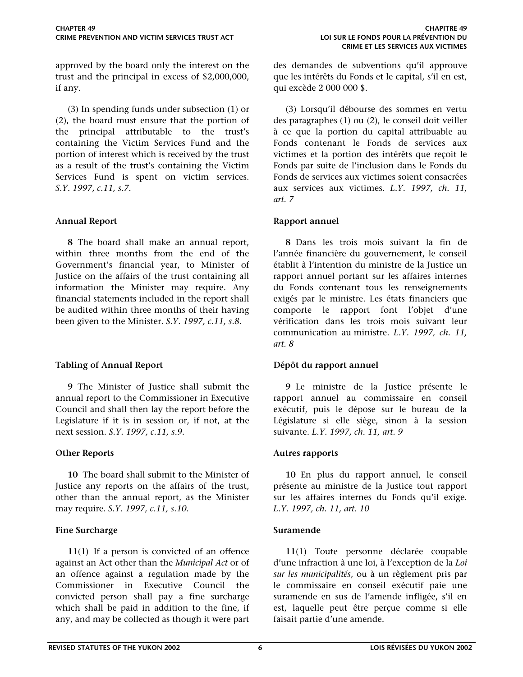approved by the board only the interest on the trust and the principal in excess of \$2,000,000, if any.

(3) In spending funds under subsection (1) or (2), the board must ensure that the portion of the principal attributable to the trust's containing the Victim Services Fund and the portion of interest which is received by the trust as a result of the trust's containing the Victim Services Fund is spent on victim services. *S.Y. 1997, c.11, s.7.*

**8** The board shall make an annual report, within three months from the end of the Government's financial year, to Minister of Justice on the affairs of the trust containing all information the Minister may require. Any financial statements included in the report shall be audited within three months of their having been given to the Minister. *S.Y. 1997, c.11, s.8.*

## **Tabling of Annual Report Dépôt du rapport annuel**

 **9** The Minister of Justice shall submit the annual report to the Commissioner in Executive Council and shall then lay the report before the Legislature if it is in session or, if not, at the next session. *S.Y. 1997, c.11, s.9.*

 **10** The board shall submit to the Minister of Justice any reports on the affairs of the trust, other than the annual report, as the Minister may require. *S.Y. 1997, c.11, s.10.*

## **Fine Surcharge Suramende Suramende**

 **11**(1) If a person is convicted of an offence against an Act other than the *Municipal Act* or of an offence against a regulation made by the Commissioner in Executive Council the convicted person shall pay a fine surcharge which shall be paid in addition to the fine, if any, and may be collected as though it were part des demandes de subventions qu'il approuve que les intérêts du Fonds et le capital, s'il en est, qui excède 2 000 000 \$.

(3) Lorsqu'il débourse des sommes en vertu des paragraphes (1) ou (2), le conseil doit veiller à ce que la portion du capital attribuable au Fonds contenant le Fonds de services aux victimes et la portion des intérêts que reçoit le Fonds par suite de l'inclusion dans le Fonds du Fonds de services aux victimes soient consacrées aux services aux victimes. *L.Y. 1997, ch. 11, art. 7* 

## **Annual Report Community Community Rapport annuel Rapport annuel**

**8** Dans les trois mois suivant la fin de l'année financière du gouvernement, le conseil établit à l'intention du ministre de la Justice un rapport annuel portant sur les affaires internes du Fonds contenant tous les renseignements exigés par le ministre. Les états financiers que comporte le rapport font l'objet d'une vérification dans les trois mois suivant leur communication au ministre. *L.Y. 1997, ch. 11, art. 8* 

**9** Le ministre de la Justice présente le rapport annuel au commissaire en conseil exécutif, puis le dépose sur le bureau de la Législature si elle siège, sinon à la session suivante. *L.Y. 1997, ch. 11, art. 9*

## **Other Reports Autres rapports**

 **10** En plus du rapport annuel, le conseil présente au ministre de la Justice tout rapport sur les affaires internes du Fonds qu'il exige. *L.Y. 1997, ch. 11, art. 10*

**11**(1) Toute personne déclarée coupable d'une infraction à une loi, à l'exception de la *Loi sur les municipalités*, ou à un règlement pris par le commissaire en conseil exécutif paie une suramende en sus de l'amende infligée, s'il en est, laquelle peut être perçue comme si elle faisait partie d'une amende.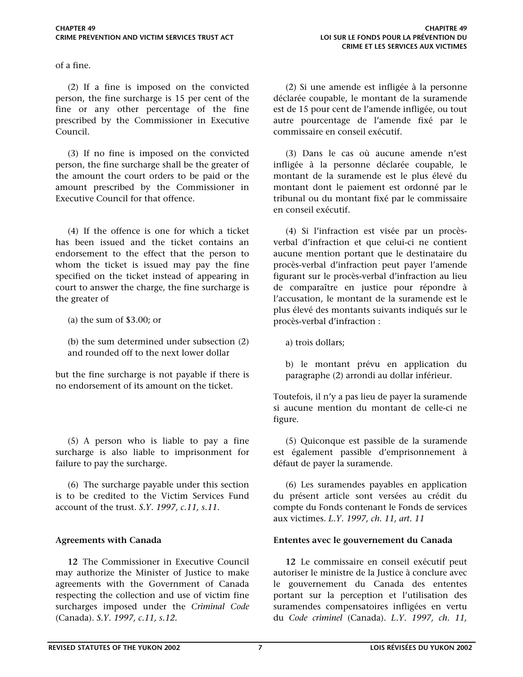of a fine.

(2) If a fine is imposed on the convicted person, the fine surcharge is 15 per cent of the fine or any other percentage of the fine prescribed by the Commissioner in Executive Council.

(3) If no fine is imposed on the convicted person, the fine surcharge shall be the greater of the amount the court orders to be paid or the amount prescribed by the Commissioner in Executive Council for that offence.

(4) If the offence is one for which a ticket has been issued and the ticket contains an endorsement to the effect that the person to whom the ticket is issued may pay the fine specified on the ticket instead of appearing in court to answer the charge, the fine surcharge is the greater of

(a) the sum of \$3.00; or

(b) the sum determined under subsection (2) and rounded off to the next lower dollar

but the fine surcharge is not payable if there is no endorsement of its amount on the ticket.

(5) A person who is liable to pay a fine surcharge is also liable to imprisonment for failure to pay the surcharge.

(6) The surcharge payable under this section is to be credited to the Victim Services Fund account of the trust. *S.Y. 1997, c.11, s.11.*

 **12** The Commissioner in Executive Council may authorize the Minister of Justice to make agreements with the Government of Canada respecting the collection and use of victim fine surcharges imposed under the *Criminal Code*  (Canada). *S.Y. 1997, c.11, s.12.*

(2) Si une amende est infligée à la personne déclarée coupable, le montant de la suramende est de 15 pour cent de l'amende infligée, ou tout autre pourcentage de l'amende fixé par le commissaire en conseil exécutif.

(3) Dans le cas où aucune amende n'est infligée à la personne déclarée coupable, le montant de la suramende est le plus élevé du montant dont le paiement est ordonné par le tribunal ou du montant fixé par le commissaire en conseil exécutif.

(4) Si l'infraction est visée par un procèsverbal d'infraction et que celui-ci ne contient aucune mention portant que le destinataire du procès-verbal d'infraction peut payer l'amende figurant sur le procès-verbal d'infraction au lieu de comparaître en justice pour répondre à l'accusation, le montant de la suramende est le plus élevé des montants suivants indiqués sur le procès-verbal d'infraction :

a) trois dollars;

b) le montant prévu en application du paragraphe (2) arrondi au dollar inférieur.

Toutefois, il n'y a pas lieu de payer la suramende si aucune mention du montant de celle-ci ne figure.

(5) Quiconque est passible de la suramende est également passible d'emprisonnement à défaut de payer la suramende.

(6) Les suramendes payables en application du présent article sont versées au crédit du compte du Fonds contenant le Fonds de services aux victimes. *L.Y. 1997, ch. 11, art. 11*

## **Agreements with Canada Ententes avec le gouvernement du Canada**

**12** Le commissaire en conseil exécutif peut autoriser le ministre de la Justice à conclure avec le gouvernement du Canada des ententes portant sur la perception et l'utilisation des suramendes compensatoires infligées en vertu du *Code criminel* (Canada). *L.Y. 1997, ch. 11,*